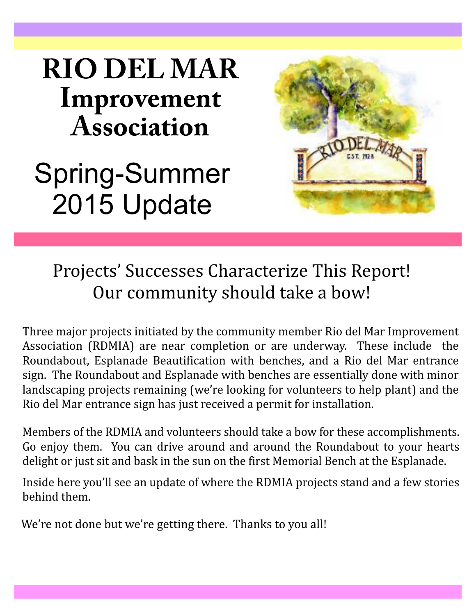# **RIO DEL MAR** Improvement **Association**

# Spring-Summer 2015 Update



# Projects' Successes Characterize This Report! Our community should take a bow!

Three major projects initiated by the community member Rio del Mar Improvement Association (RDMIA) are near completion or are underway. These include the Roundabout, Esplanade Beautification with benches, and a Rio del Mar entrance sign. The Roundabout and Esplanade with benches are essentially done with minor landscaping projects remaining (we're looking for volunteers to help plant) and the Rio del Mar entrance sign has just received a permit for installation.

Members of the RDMIA and volunteers should take a bow for these accomplishments. Go enjoy them. You can drive around and around the Roundabout to your hearts delight or just sit and bask in the sun on the first Memorial Bench at the Esplanade.

Inside here you'll see an update of where the RDMIA projects stand and a few stories behind them.

We're not done but we're getting there. Thanks to you all!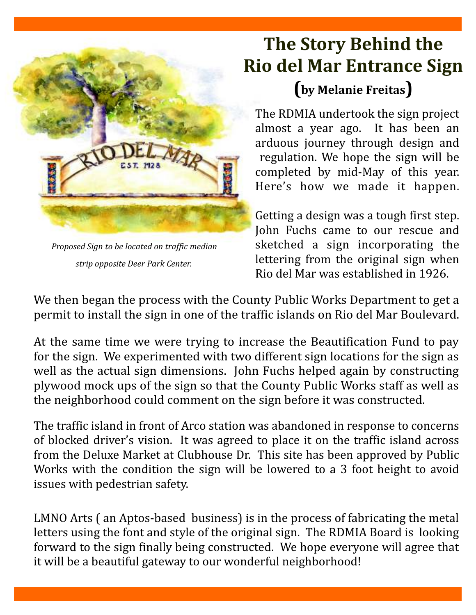

*Proposed Sign to be located on traffic median strip opposite Deer Park Center.*

# **The Story Behind the Rio del Mar Entrance Sign ( ) by Melanie Freitas**

The RDMIA undertook the sign project almost a year ago. It has been an arduous journey through design and regulation. We hope the sign will be completed by mid-May of this year. Here's how we made it happen.

Getting a design was a tough first step. John Fuchs came to our rescue and sketched a sign incorporating the lettering from the original sign when Rio del Mar was established in 1926.

We then began the process with the County Public Works Department to get a permit to install the sign in one of the traffic islands on Rio del Mar Boulevard.

At the same time we were trying to increase the Beautification Fund to pay for the sign. We experimented with two different sign locations for the sign as well as the actual sign dimensions. John Fuchs helped again by constructing plywood mock ups of the sign so that the County Public Works staff as well as the neighborhood could comment on the sign before it was constructed.

The traffic island in front of Arco station was abandoned in response to concerns of blocked driver's vision. It was agreed to place it on the traffic island across from the Deluxe Market at Clubhouse Dr. This site has been approved by Public Works with the condition the sign will be lowered to a 3 foot height to avoid issues with pedestrian safety.

LMNO Arts ( an Aptos-based business) is in the process of fabricating the metal letters using the font and style of the original sign. The RDMIA Board is looking forward to the sign finally being constructed. We hope everyone will agree that it will be a beautiful gateway to our wonderful neighborhood!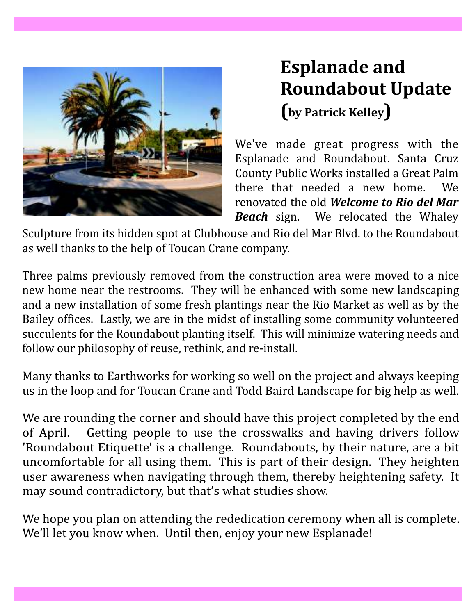

# **Esplanade and Roundabout Update ( ) by Patrick Kelley**

We've made great progress with the Esplanade and Roundabout. Santa Cruz County Public Works installed a Great Palm there that needed a new home. We renovated the old *Welcome to Rio del Mar* We relocated the Whaley *Beach* sign.

Sculpture from its hidden spot at Clubhouse and Rio del Mar Blvd. to the Roundabout as well thanks to the help of Toucan Crane company.

Three palms previously removed from the construction area were moved to a nice new home near the restrooms. They will be enhanced with some new landscaping and a new installation of some fresh plantings near the Rio Market as well as by the Bailey offices. Lastly, we are in the midst of installing some community volunteered succulents for the Roundabout planting itself. This will minimize watering needs and follow our philosophy of reuse, rethink, and re-install.

Many thanks to Earthworks for working so well on the project and always keeping us in the loop and for Toucan Crane and Todd Baird Landscape for big help as well.

We are rounding the corner and should have this project completed by the end of April. Getting people to use the crosswalks and having drivers follow 'Roundabout Etiquette' is a challenge. Roundabouts, by their nature, are a bit uncomfortable for all using them. This is part of their design. They heighten user awareness when navigating through them, thereby heightening safety. It may sound contradictory, but that's what studies show.

We hope you plan on attending the rededication ceremony when all is complete. We'll let you know when. Until then, enjoy your new Esplanade!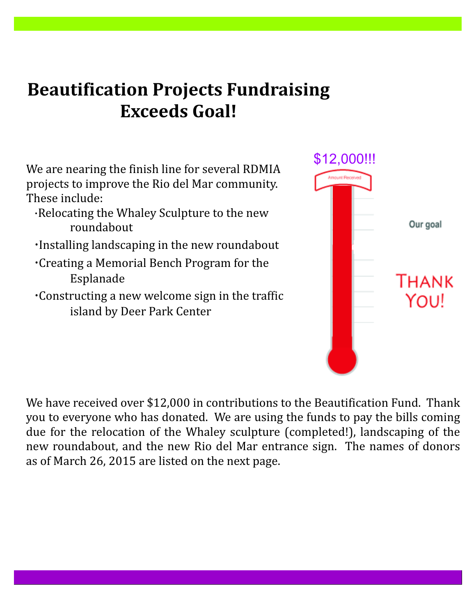## **Beautification Projects Fundraising Exceeds Goal!**

We are nearing the finish line for several RDMIA projects to improve the Rio del Mar community. These include:

- ·Relocating the Whaley Sculpture to the new roundabout
- ·Installing landscaping in the new roundabout
- Creating a Memorial Bench Program for the · Esplanade
- Constructing a new welcome sign in the traffic · island by Deer Park Center



We have received over \$12,000 in contributions to the Beautification Fund. Thank you to everyone who has donated. We are using the funds to pay the bills coming due for the relocation of the Whaley sculpture (completed!), landscaping of the new roundabout, and the new Rio del Mar entrance sign. The names of donors as of March 26, 2015 are listed on the next page.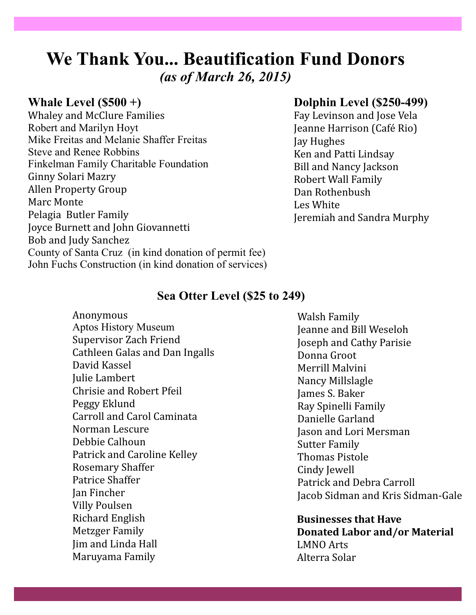### **We Thank You... Beautification Fund Donors** *(as of March 26, 2015)*

#### **Whale Level (\$500 +)**

Robert and Marilyn Hoyt Mike Freitas and Melanie Shaffer Freitas Steve and Renee Robbins Finkelman Family Charitable Foundation County of Santa Cruz (in kind donation of permit fee) John Fuchs Construction (in kind donation of services) Whaley and McClure Families Ginny Solari Mazry Allen Property Group Marc Monte Pelagia Butler Family Joyce Burnett and John Giovannetti Bob and Judy Sanchez

#### **Dolphin Level (\$250-499)**

Fay Levinson and Jose Vela Jeanne Harrison (Café Rio) Jay Hughes Ken and Patti Lindsay Bill and Nancy Jackson Robert Wall Family Dan Rothenbush Les White Jeremiah and Sandra Murphy

#### **Sea Otter Level (\$25 to 249)**

Anonymous Supervisor Zach Friend Cathleen Galas and Dan Ingalls David Kassel Julie Lambert Chrisie and Robert Pfeil Peggy Eklund Carroll and Carol Caminata Norman Lescure Debbie Calhoun Patrick and Caroline Kelley Rosemary Shaffer Patrice Shaffer Jan Fincher Villy Poulsen Richard English Metzger Family Jim and Linda Hall Maruyama Family Aptos History Museum

Walsh Family Jeanne and Bill Weseloh Joseph and Cathy Parisie Donna Groot Merrill Malvini Nancy Millslagle James S. Baker Ray Spinelli Family Danielle Garland Jason and Lori Mersman Sutter Family Thomas Pistole Cindy Jewell Patrick and Debra Carroll Jacob Sidman and Kris Sidman-Gale

**Businesses that Have Donated Labor and/or Material** LMNO Arts Alterra Solar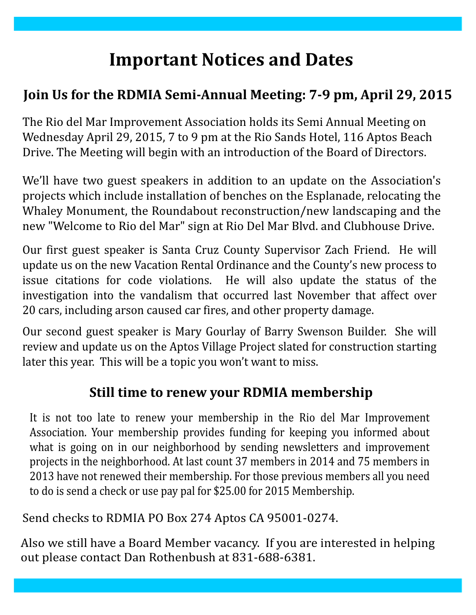# **Important Notices and Dates**

### **Join Us for the RDMIA Semi-Annual Meeting: 7-9 pm, April 29, 2015**

The Rio del Mar Improvement Association holds its Semi Annual Meeting on Wednesday April 29, 2015, 7 to 9 pm at the Rio Sands Hotel, 116 Aptos Beach Drive. The Meeting will begin with an introduction of the Board of Directors.

We'll have two guest speakers in addition to an update on the Association's projects which include installation of benches on the Esplanade, relocating the Whaley Monument, the Roundabout reconstruction/new landscaping and the new "Welcome to Rio del Mar" sign at Rio Del Mar Blvd. and Clubhouse Drive.

Our first guest speaker is Santa Cruz County Supervisor Zach Friend. He will update us on the new Vacation Rental Ordinance and the County's new process to issue citations for code violations. He will also update the status of the investigation into the vandalism that occurred last November that affect over 20 cars, including arson caused car fires, and other property damage.

Our second guest speaker is Mary Gourlay of Barry Swenson Builder. She will review and update us on the Aptos Village Project slated for construction starting later this year. This will be a topic you won't want to miss.

### **Still time to renew your RDMIA membership**

It is not too late to renew your membership in the Rio del Mar Improvement Association. Your membership provides funding for keeping you informed about what is going on in our neighborhood by sending newsletters and improvement projects in the neighborhood. At last count 37 members in 2014 and 75 members in 2013 have not renewed their membership. For those previous members all you need to do is send a check or use pay pal for \$25.00 for 2015 Membership.

Send checks to RDMIA PO Box 274 Aptos CA 95001-0274.

Also we still have a Board Member vacancy. If you are interested in helping out please contact Dan Rothenbush at 831-688-6381.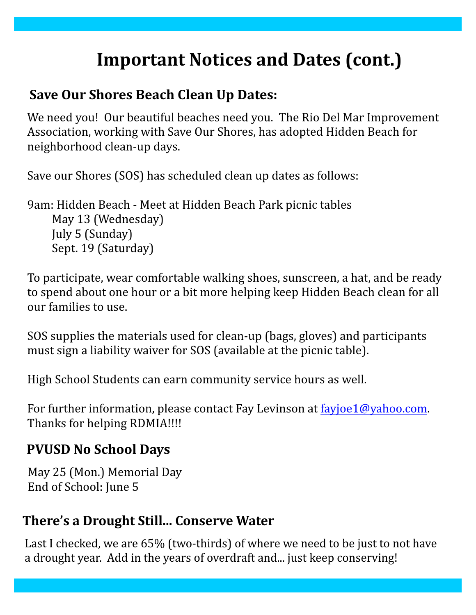# **Important Notices and Dates (cont.)**

#### **Save Our Shores Beach Clean Up Dates:**

We need you! Our beautiful beaches need you. The Rio Del Mar Improvement Association, working with Save Our Shores, has adopted Hidden Beach for neighborhood clean-up days.

Save our Shores (SOS) has scheduled clean up dates as follows:

9am: Hidden Beach - Meet at Hidden Beach Park picnic tables May 13 (Wednesday) July 5 (Sunday) Sept. 19 (Saturday)

To participate, wear comfortable walking shoes, sunscreen, a hat, and be ready to spend about one hour or a bit more helping keep Hidden Beach clean for all our families to use.

SOS supplies the materials used for clean-up (bags, gloves) and participants must sign a liability waiver for SOS (available at the picnic table).

High School Students can earn community service hours as well.

For further information, please contact Fay Levinson at **fayjoe1@yahoo.com**. Thanks for helping RDMIA!!!!

#### **PVUSD No School Days**

May 25 (Mon.) Memorial Day End of School: June 5

#### **There's a Drought Still... Conserve Water**

Last I checked, we are 65% (two-thirds) of where we need to be just to not have a drought year. Add in the years of overdraft and... just keep conserving!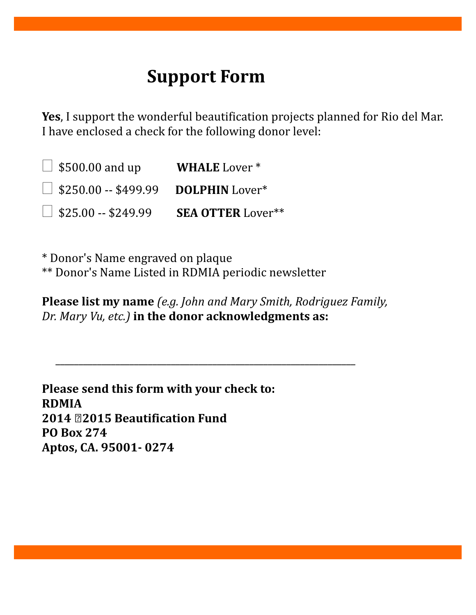### **Support Form**

**Yes** , I support the wonderful beautification projects planned for Rio del Mar. I have enclosed a check for the following donor level:

WHALE<sub>Lover</sub> \* □ \$250.00 -- \$499.99 **DOLPHIN** Lover\* **SEA OTTER**  $\Box$  \$500.00 and up WHALE Lover \*  $\Box$  \$25.00 -- \$249.99 SEA OTTER Lover\*\*

\* Donor's Name engraved on plaque \*\* Donor's Name Listed in RDMIA periodic newsletter

**Please list my name** *(e.g. John and Mary Smith, Rodriguez Family,* Dr. Mary Vu, etc.) in the donor acknowledgments as:

\_\_\_\_\_\_\_\_\_\_\_\_\_\_\_\_\_\_\_\_\_\_\_\_\_\_\_\_\_\_\_\_\_\_\_\_\_\_\_\_\_\_\_\_\_\_\_\_\_\_\_\_\_\_\_\_\_\_\_\_\_\_\_\_\_

**Please send this form with your check to: RDMIA 2014 ‐2015 Beautification Fund PO Box 274 Aptos, CA. 95001- 0274**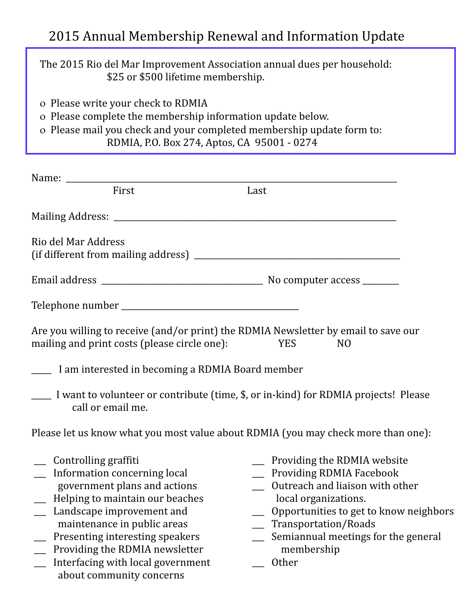### 2015 Annual Membership Renewal and Information Update

The 2015 Rio del Mar Improvement Association annual dues per household: \$25 or \$500 lifetime membership.

- o Please write your check to RDMIA
- o Please complete the membership information update below.
- o Please mail you check and your completed membership update form to: RDMIA, P.O. Box 274, Aptos, CA 95001 - 0274

| First                                                                                                                                                                                                                                                                                                                     | Last                                                                                                                                                                                                                                                  |
|---------------------------------------------------------------------------------------------------------------------------------------------------------------------------------------------------------------------------------------------------------------------------------------------------------------------------|-------------------------------------------------------------------------------------------------------------------------------------------------------------------------------------------------------------------------------------------------------|
|                                                                                                                                                                                                                                                                                                                           |                                                                                                                                                                                                                                                       |
| Rio del Mar Address                                                                                                                                                                                                                                                                                                       |                                                                                                                                                                                                                                                       |
|                                                                                                                                                                                                                                                                                                                           |                                                                                                                                                                                                                                                       |
|                                                                                                                                                                                                                                                                                                                           |                                                                                                                                                                                                                                                       |
| Are you willing to receive (and/or print) the RDMIA Newsletter by email to save our<br>mailing and print costs (please circle one):                                                                                                                                                                                       | YES<br>N <sub>O</sub>                                                                                                                                                                                                                                 |
| <u>___</u> I am interested in becoming a RDMIA Board member                                                                                                                                                                                                                                                               |                                                                                                                                                                                                                                                       |
| I want to volunteer or contribute (time, \$, or in-kind) for RDMIA projects! Please<br>call or email me.                                                                                                                                                                                                                  |                                                                                                                                                                                                                                                       |
| Please let us know what you most value about RDMIA (you may check more than one):                                                                                                                                                                                                                                         |                                                                                                                                                                                                                                                       |
| Controlling graffiti<br>Information concerning local<br>government plans and actions<br>Helping to maintain our beaches<br>Landscape improvement and<br>maintenance in public areas<br>Presenting interesting speakers<br>Providing the RDMIA newsletter<br>Interfacing with local government<br>about community concerns | Providing the RDMIA website<br>__ Providing RDMIA Facebook<br>Outreach and liaison with other<br>local organizations.<br>Opportunities to get to know neighbors<br>Transportation/Roads<br>Semiannual meetings for the general<br>membership<br>Other |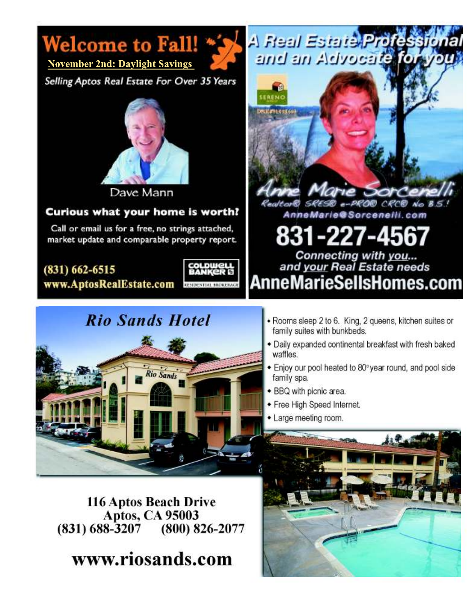



**November 2nd: Daylight Savings** 

Selling Aptos Real Estate For Over 35 Years



Dave Mann

#### Curious what your home is worth?

Call or email us for a free, no strings attached, market update and comparable property report.

 $(831) 662 - 6515$ 

www.AptosRealEstate.com



### **Rio Sands Hotel**





- · Rooms sleep 2 to 6. King, 2 queens, kitchen suites or family suites with bunkbeds.
- · Daily expanded continental breakfast with fresh baked waffles.
- Enjoy our pool heated to 80° year round, and pool side family spa.
- · BBQ with picnic area.
- Free High Speed Internet.
- Large meeting room.

116 Aptos Beach Drive **Aptos, CA 95003**  $(831)$  688-3207  $(800) 826 - 2077$ 

www.riosands.com

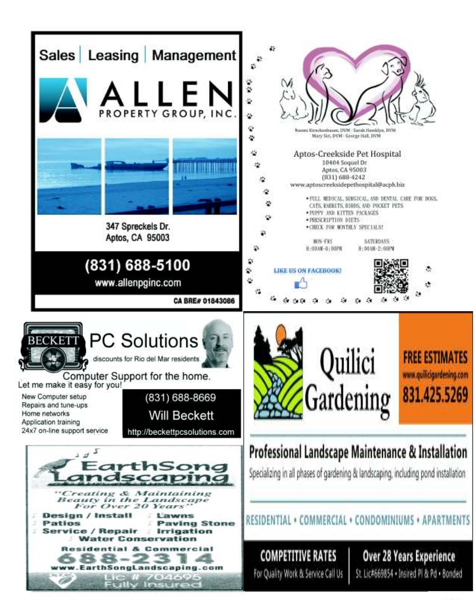